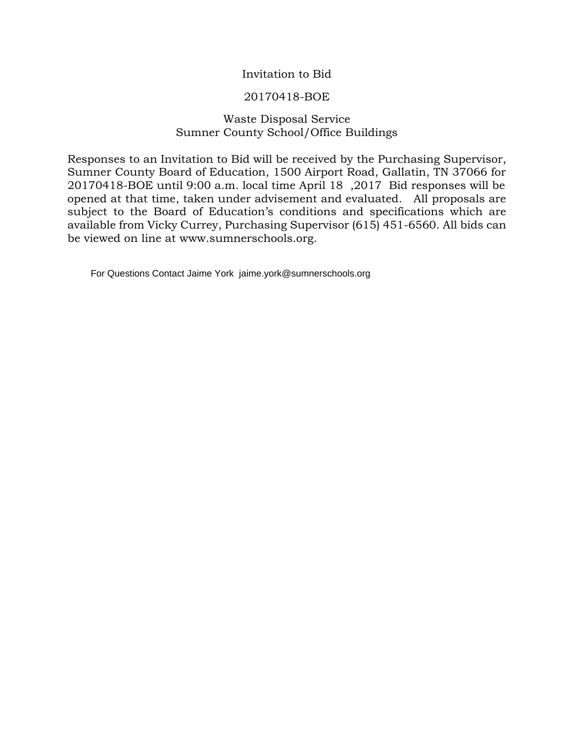# Invitation to Bid

## 20170418-BOE

# Waste Disposal Service Sumner County School/Office Buildings

Responses to an Invitation to Bid will be received by the Purchasing Supervisor, Sumner County Board of Education, 1500 Airport Road, Gallatin, TN 37066 for 20170418-BOE until 9:00 a.m. local time April 18 ,2017 Bid responses will be opened at that time, taken under advisement and evaluated. All proposals are subject to the Board of Education's conditions and specifications which are available from Vicky Currey, Purchasing Supervisor (615) 451-6560. All bids can be viewed on line at www.sumnerschools.org.

For Questions Contact Jaime York jaime.york@sumnerschools.org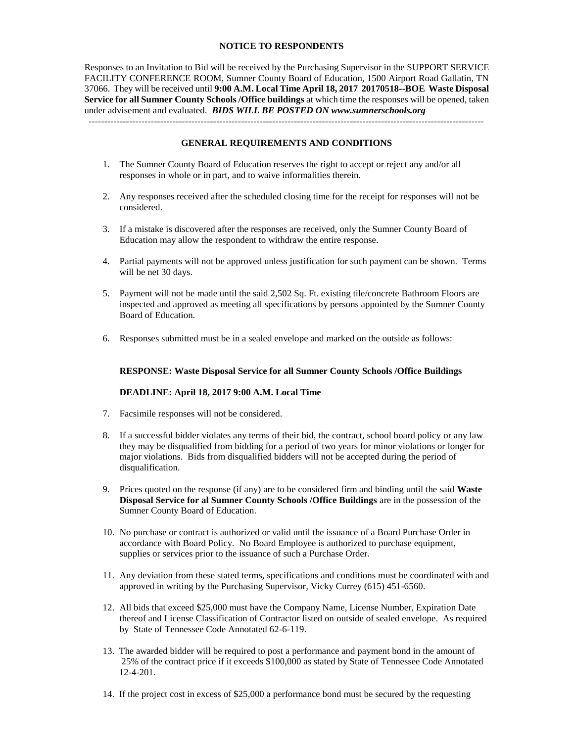### **NOTICE TO RESPONDENTS**

Responses to an Invitation to Bid will be received by the Purchasing Supervisor in the SUPPORT SERVICE FACILITY CONFERENCE ROOM, Sumner County Board of Education, 1500 Airport Road Gallatin, TN 37066. They will be received until **9:00 A.M. Local Time April 18, 2017 20170518--BOE Waste Disposal Service for all Sumner County Schools /Office buildings** at which time the responses will be opened, taken under advisement and evaluated. *BIDS WILL BE POSTED ON www.sumnerschools.org* -------------------------------------------------------------------------------------------------------------------------------

### **GENERAL REQUIREMENTS AND CONDITIONS**

- 1. The Sumner County Board of Education reserves the right to accept or reject any and/or all responses in whole or in part, and to waive informalities therein.
- 2. Any responses received after the scheduled closing time for the receipt for responses will not be considered.
- 3. If a mistake is discovered after the responses are received, only the Sumner County Board of Education may allow the respondent to withdraw the entire response.
- 4. Partial payments will not be approved unless justification for such payment can be shown. Terms will be net 30 days.
- 5. Payment will not be made until the said 2,502 Sq. Ft. existing tile/concrete Bathroom Floors are inspected and approved as meeting all specifications by persons appointed by the Sumner County Board of Education.
- 6. Responses submitted must be in a sealed envelope and marked on the outside as follows:

#### **RESPONSE: Waste Disposal Service for all Sumner County Schools /Office Buildings**

#### **DEADLINE: April 18, 2017 9:00 A.M. Local Time**

- 7. Facsimile responses will not be considered.
- 8. If a successful bidder violates any terms of their bid, the contract, school board policy or any law they may be disqualified from bidding for a period of two years for minor violations or longer for major violations. Bids from disqualified bidders will not be accepted during the period of disqualification.
- 9. Prices quoted on the response (if any) are to be considered firm and binding until the said **Waste Disposal Service for al Sumner County Schools /Office Buildings** are in the possession of the Sumner County Board of Education.
- 10. No purchase or contract is authorized or valid until the issuance of a Board Purchase Order in accordance with Board Policy. No Board Employee is authorized to purchase equipment, supplies or services prior to the issuance of such a Purchase Order.
- 11. Any deviation from these stated terms, specifications and conditions must be coordinated with and approved in writing by the Purchasing Supervisor, Vicky Currey (615) 451-6560.
- 12. All bids that exceed \$25,000 must have the Company Name, License Number, Expiration Date thereof and License Classification of Contractor listed on outside of sealed envelope. As required by State of Tennessee Code Annotated 62-6-119.
- 13. The awarded bidder will be required to post a performance and payment bond in the amount of 25% of the contract price if it exceeds \$100,000 as stated by State of Tennessee Code Annotated 12-4-201.
- 14. If the project cost in excess of \$25,000 a performance bond must be secured by the requesting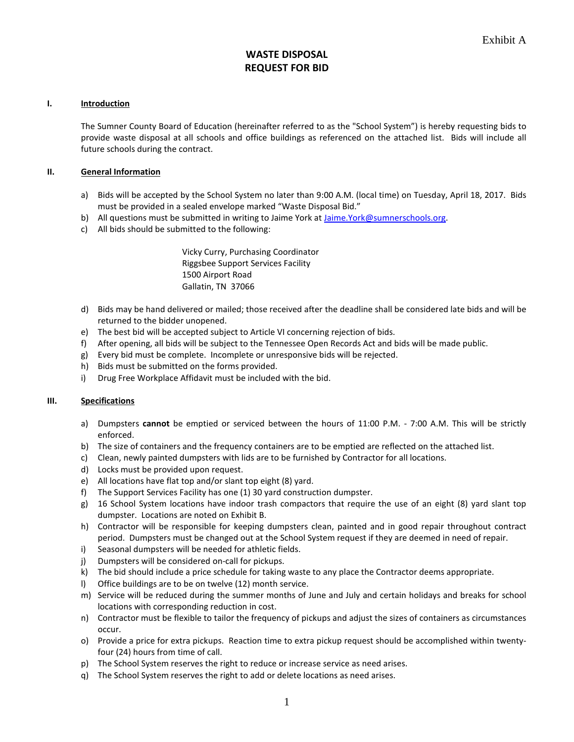# **WASTE DISPOSAL REQUEST FOR BID**

### **I. Introduction**

The Sumner County Board of Education (hereinafter referred to as the "School System") is hereby requesting bids to provide waste disposal at all schools and office buildings as referenced on the attached list. Bids will include all future schools during the contract.

### **II. General Information**

- a) Bids will be accepted by the School System no later than 9:00 A.M. (local time) on Tuesday, April 18, 2017. Bids must be provided in a sealed envelope marked "Waste Disposal Bid."
- b) All questions must be submitted in writing to Jaime York a[t Jaime.York@sumnerschools.org.](mailto:Jaime.York@sumnerschools.org)
- c) All bids should be submitted to the following:

Vicky Curry, Purchasing Coordinator Riggsbee Support Services Facility 1500 Airport Road Gallatin, TN 37066

- d) Bids may be hand delivered or mailed; those received after the deadline shall be considered late bids and will be returned to the bidder unopened.
- e) The best bid will be accepted subject to Article VI concerning rejection of bids.
- f) After opening, all bids will be subject to the Tennessee Open Records Act and bids will be made public.
- g) Every bid must be complete. Incomplete or unresponsive bids will be rejected.
- h) Bids must be submitted on the forms provided.
- i) Drug Free Workplace Affidavit must be included with the bid.

#### **III. Specifications**

- a) Dumpsters **cannot** be emptied or serviced between the hours of 11:00 P.M. 7:00 A.M. This will be strictly enforced.
- b) The size of containers and the frequency containers are to be emptied are reflected on the attached list.
- c) Clean, newly painted dumpsters with lids are to be furnished by Contractor for all locations.
- d) Locks must be provided upon request.
- e) All locations have flat top and/or slant top eight (8) yard.
- f) The Support Services Facility has one (1) 30 yard construction dumpster.
- g) 16 School System locations have indoor trash compactors that require the use of an eight (8) yard slant top dumpster. Locations are noted on Exhibit B.
- h) Contractor will be responsible for keeping dumpsters clean, painted and in good repair throughout contract period. Dumpsters must be changed out at the School System request if they are deemed in need of repair.
- i) Seasonal dumpsters will be needed for athletic fields.
- j) Dumpsters will be considered on-call for pickups.
- k) The bid should include a price schedule for taking waste to any place the Contractor deems appropriate.
- l) Office buildings are to be on twelve (12) month service.
- m) Service will be reduced during the summer months of June and July and certain holidays and breaks for school locations with corresponding reduction in cost.
- n) Contractor must be flexible to tailor the frequency of pickups and adjust the sizes of containers as circumstances occur.
- o) Provide a price for extra pickups. Reaction time to extra pickup request should be accomplished within twentyfour (24) hours from time of call.
- p) The School System reserves the right to reduce or increase service as need arises.
- q) The School System reserves the right to add or delete locations as need arises.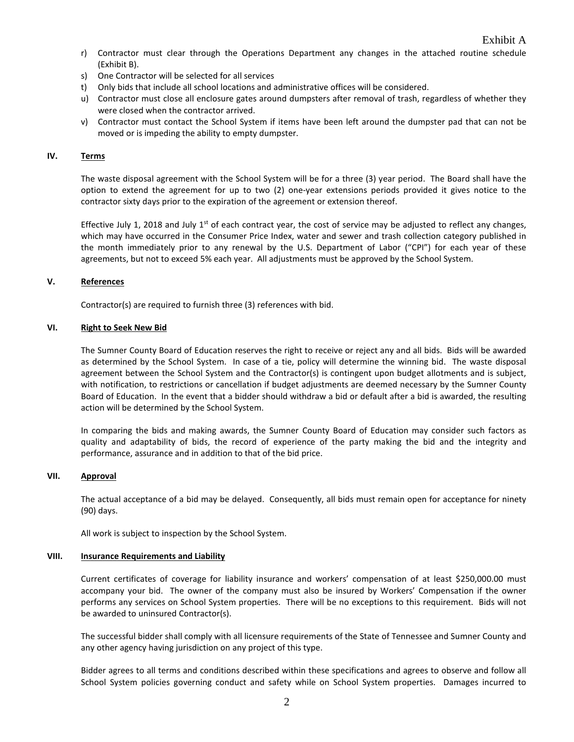- r) Contractor must clear through the Operations Department any changes in the attached routine schedule (Exhibit B).
- s) One Contractor will be selected for all services
- t) Only bids that include all school locations and administrative offices will be considered.
- u) Contractor must close all enclosure gates around dumpsters after removal of trash, regardless of whether they were closed when the contractor arrived.
- v) Contractor must contact the School System if items have been left around the dumpster pad that can not be moved or is impeding the ability to empty dumpster.

## **IV. Terms**

The waste disposal agreement with the School System will be for a three (3) year period. The Board shall have the option to extend the agreement for up to two (2) one-year extensions periods provided it gives notice to the contractor sixty days prior to the expiration of the agreement or extension thereof.

Effective July 1, 2018 and July  $1<sup>st</sup>$  of each contract year, the cost of service may be adjusted to reflect any changes, which may have occurred in the Consumer Price Index, water and sewer and trash collection category published in the month immediately prior to any renewal by the U.S. Department of Labor ("CPI") for each year of these agreements, but not to exceed 5% each year. All adjustments must be approved by the School System.

### **V. References**

Contractor(s) are required to furnish three (3) references with bid.

### **VI. Right to Seek New Bid**

The Sumner County Board of Education reserves the right to receive or reject any and all bids. Bids will be awarded as determined by the School System. In case of a tie, policy will determine the winning bid. The waste disposal agreement between the School System and the Contractor(s) is contingent upon budget allotments and is subject, with notification, to restrictions or cancellation if budget adjustments are deemed necessary by the Sumner County Board of Education. In the event that a bidder should withdraw a bid or default after a bid is awarded, the resulting action will be determined by the School System.

In comparing the bids and making awards, the Sumner County Board of Education may consider such factors as quality and adaptability of bids, the record of experience of the party making the bid and the integrity and performance, assurance and in addition to that of the bid price.

#### **VII. Approval**

The actual acceptance of a bid may be delayed. Consequently, all bids must remain open for acceptance for ninety (90) days.

All work is subject to inspection by the School System.

#### **VIII. Insurance Requirements and Liability**

Current certificates of coverage for liability insurance and workers' compensation of at least \$250,000.00 must accompany your bid. The owner of the company must also be insured by Workers' Compensation if the owner performs any services on School System properties. There will be no exceptions to this requirement. Bids will not be awarded to uninsured Contractor(s).

The successful bidder shall comply with all licensure requirements of the State of Tennessee and Sumner County and any other agency having jurisdiction on any project of this type.

Bidder agrees to all terms and conditions described within these specifications and agrees to observe and follow all School System policies governing conduct and safety while on School System properties. Damages incurred to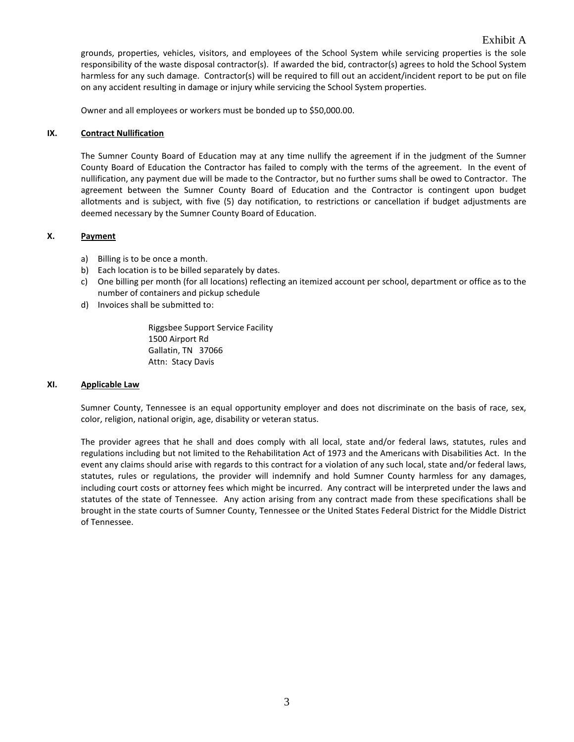grounds, properties, vehicles, visitors, and employees of the School System while servicing properties is the sole responsibility of the waste disposal contractor(s). If awarded the bid, contractor(s) agrees to hold the School System harmless for any such damage. Contractor(s) will be required to fill out an accident/incident report to be put on file on any accident resulting in damage or injury while servicing the School System properties.

Owner and all employees or workers must be bonded up to \$50,000.00.

## **IX. Contract Nullification**

The Sumner County Board of Education may at any time nullify the agreement if in the judgment of the Sumner County Board of Education the Contractor has failed to comply with the terms of the agreement. In the event of nullification, any payment due will be made to the Contractor, but no further sums shall be owed to Contractor. The agreement between the Sumner County Board of Education and the Contractor is contingent upon budget allotments and is subject, with five (5) day notification, to restrictions or cancellation if budget adjustments are deemed necessary by the Sumner County Board of Education.

## **X. Payment**

- a) Billing is to be once a month.
- b) Each location is to be billed separately by dates.
- c) One billing per month (for all locations) reflecting an itemized account per school, department or office as to the number of containers and pickup schedule
- d) Invoices shall be submitted to:

Riggsbee Support Service Facility 1500 Airport Rd Gallatin, TN 37066 Attn: Stacy Davis

#### **XI. Applicable Law**

Sumner County, Tennessee is an equal opportunity employer and does not discriminate on the basis of race, sex, color, religion, national origin, age, disability or veteran status.

The provider agrees that he shall and does comply with all local, state and/or federal laws, statutes, rules and regulations including but not limited to the Rehabilitation Act of 1973 and the Americans with Disabilities Act. In the event any claims should arise with regards to this contract for a violation of any such local, state and/or federal laws, statutes, rules or regulations, the provider will indemnify and hold Sumner County harmless for any damages, including court costs or attorney fees which might be incurred. Any contract will be interpreted under the laws and statutes of the state of Tennessee. Any action arising from any contract made from these specifications shall be brought in the state courts of Sumner County, Tennessee or the United States Federal District for the Middle District of Tennessee.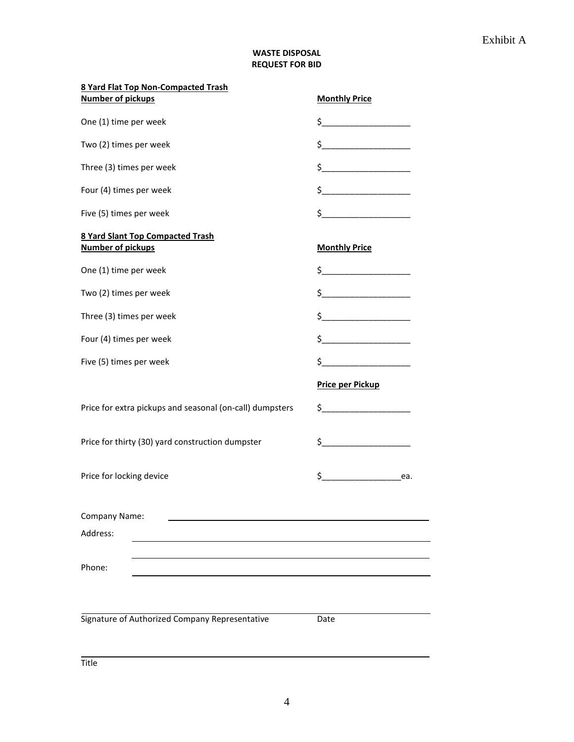## **WASTE DISPOSAL REQUEST FOR BID**

| 8 Yard Flat Top Non-Compacted Trash                                 |                                                                                     |
|---------------------------------------------------------------------|-------------------------------------------------------------------------------------|
| <b>Number of pickups</b>                                            | <b>Monthly Price</b>                                                                |
| One (1) time per week                                               | $\frac{1}{2}$                                                                       |
| Two (2) times per week                                              | $\frac{1}{2}$                                                                       |
| Three (3) times per week                                            | $\frac{1}{2}$                                                                       |
| Four (4) times per week                                             | $\frac{1}{2}$                                                                       |
| Five (5) times per week                                             | $\frac{1}{2}$                                                                       |
| <b>8 Yard Slant Top Compacted Trash</b><br><b>Number of pickups</b> | <b>Monthly Price</b>                                                                |
| One (1) time per week                                               | $\mathsf{S} \hspace{0.03in} \underbrace{\hspace{0.03in}}$                           |
| Two (2) times per week                                              |                                                                                     |
| Three (3) times per week                                            | $\begin{array}{c} \xi \end{array}$                                                  |
| Four (4) times per week                                             | $\frac{1}{2}$                                                                       |
| Five (5) times per week                                             | $\begin{array}{c} \xi \end{array}$                                                  |
|                                                                     |                                                                                     |
|                                                                     | <b>Price per Pickup</b>                                                             |
| Price for extra pickups and seasonal (on-call) dumpsters            | $\begin{array}{c c c c c} \n5 & \text{---} & \text{---} & \text{---} \n\end{array}$ |
| Price for thirty (30) yard construction dumpster                    | $\sharp$                                                                            |
| Price for locking device                                            | $$$ ea.                                                                             |
| Company Name:                                                       |                                                                                     |
| Address:                                                            |                                                                                     |
| Phone:                                                              |                                                                                     |
| Signature of Authorized Company Representative                      | Date                                                                                |

4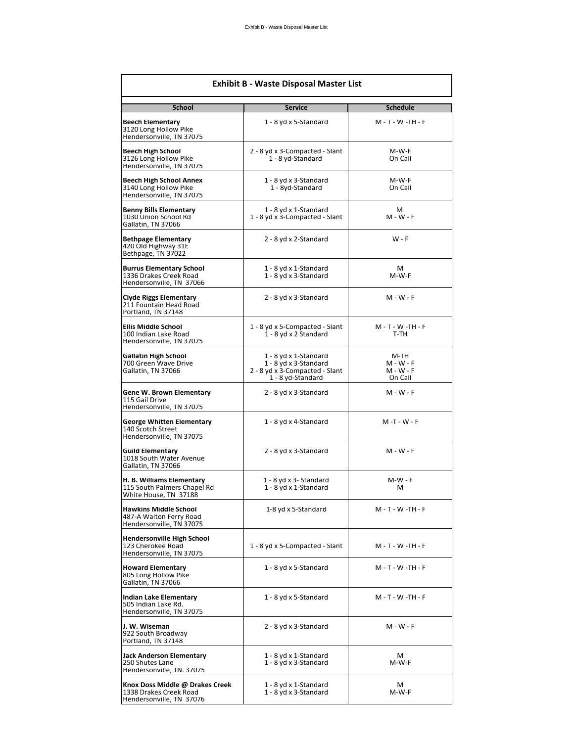| <b>Exhibit B - Waste Disposal Master List</b>                                         |                                                                                                       |                                             |  |
|---------------------------------------------------------------------------------------|-------------------------------------------------------------------------------------------------------|---------------------------------------------|--|
| <b>School</b>                                                                         | <b>Service</b>                                                                                        | <b>Schedule</b>                             |  |
| Beech Elementary<br>3120 Long Hollow Pike<br>Hendersonville, TN 37075                 | 1 - 8 yd x 5-Standard                                                                                 | $M - T - W - TH - F$                        |  |
| Beech High School<br>3126 Long Hollow Pike<br>Hendersonville, TN 37075                | 2 - 8 yd x 3-Compacted - Slant<br>1 - 8 yd-Standard                                                   | M-W-F<br>On Call                            |  |
| Beech High School Annex<br>3140 Long Hollow Pike<br>Hendersonville, TN 37075          | 1 - 8 yd x 3-Standard<br>1 - 8yd-Standard                                                             | M-W-F<br>On Call                            |  |
| <b>Benny Bills Elementary</b><br>1030 Union School Rd<br>Gallatin, TN 37066           | 1 - 8 yd x 1-Standard<br>1 - 8 yd x 3-Compacted - Slant                                               | м<br>M - W - F                              |  |
| <b>Bethpage Elementary</b><br>420 Old Highway 31E<br>Bethpage, TN 37022               | 2 - 8 yd x 2-Standard                                                                                 | $W - F$                                     |  |
| <b>Burrus Elementary School</b><br>1336 Drakes Creek Road<br>Hendersonville, TN 37066 | 1 - 8 yd x 1-Standard<br>1 - 8 yd x 3-Standard                                                        | м<br>M-W-F                                  |  |
| Ciyde Riggs Elementary<br>211 Fountain Head Road<br>Portland, TN 37148                | 2 - 8 yd x 3-Standard                                                                                 | $M - W - F$                                 |  |
| <b>Ellis Middle School</b><br>100 Indian Lake Road<br>Hendersonville, TN 37075        | 1 - 8 yd x 5-Compacted - Slant<br>1 - 8 yd x 2 Standard                                               | $M - T - W - TH - F$<br>T-TH                |  |
| Gallatin High School<br>700 Green Wave Drive<br>Gallatin, TN 37066                    | 1 - 8 yd x 1-Standard<br>1 - 8 yd x 3-Standard<br>2 - 8 yd x 3-Compacted - Slant<br>1 - 8 yd-Standard | M-TH<br>M - W - F<br>$M - W - F$<br>On Call |  |
| Gene W. Brown Elementary<br>115 Gail Drive<br>Hendersonville, TN 37075                | 2 - 8 yd x 3-Standard                                                                                 | M - W - F                                   |  |
| George Whitten Elementary<br>140 Scotch Street<br>Hendersonville, TN 37075            | 1 - 8 yd x 4-Standard                                                                                 | $M - T - W - F$                             |  |
| Guild Elementary<br>1018 South Water Avenue<br>Gallatin, TN 37066                     | 2 - 8 yd x 3-Standard                                                                                 | $M - W - F$                                 |  |
| H. B. Williams Elementary<br>115 South Palmers Chapel Rd<br>White House, TN 37188     | 1 - 8 yd x 3- Standard<br>1 - 8 yd x 1-Standard                                                       | $M-W - F$<br>м                              |  |
| <b>Hawkins Middle School</b><br>487-A Walton Ferry Road<br>Hendersonville, TN 37075   | 1-8 yd x 5-Standard                                                                                   | $M - T - W - TH - F$                        |  |
| Hendersonville High School<br>123 Cherokee Road<br>Hendersonville, TN 37075           | 1 - 8 yd x 5-Compacted - Slant                                                                        | M - T - W -TH - F                           |  |
| <b>Howard Elementary</b><br>805 Long Hollow Pike<br>Gallatin, TN 37066                | 1 - 8 yd x 5-Standard                                                                                 | $M - T - W - TH - F$                        |  |
| Indian Lake Elementary<br>505 Indian Lake Rd.<br>Hendersonville, TN 37075             | 1 - 8 yd x 5-Standard                                                                                 | M - T - W -TH - F                           |  |
| J. W. Wiseman<br>922 South Broadway<br>Portland, TN 37148                             | 2 - 8 yd x 3-Standard                                                                                 | M - W - F                                   |  |
| Jack Anderson Elementary<br>250 Shutes Lane<br>Hendersonville, TN. 37075              | 1 - 8 yd x 1-Standard<br>1 - 8 yd x 3-Standard                                                        | М<br>M-W-F                                  |  |
| Knox Doss Middle @ Drakes Creek<br>1338 Drakes Creek Road<br>Hendersonville, TN 37076 | 1 - 8 yd x 1-Standard<br>1 - 8 yd x 3-Standard                                                        | м<br>M-W-F                                  |  |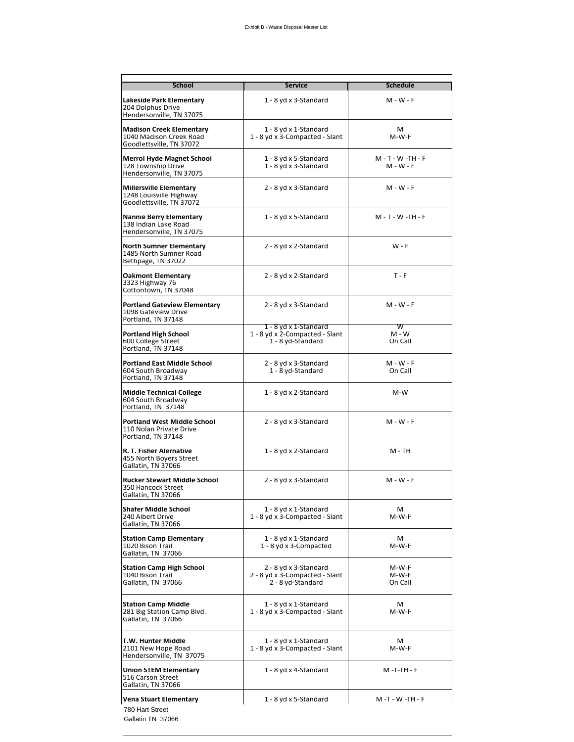| <b>School</b>                                                                          | <b>Service</b>                                                               | <b>Schedule</b>                  |
|----------------------------------------------------------------------------------------|------------------------------------------------------------------------------|----------------------------------|
| Lakeside Park Elementary                                                               | 1 - 8 yd x 3-Standard                                                        | $M - W - F$                      |
| 204 Dolphus Drive<br>Hendersonville, TN 37075                                          |                                                                              |                                  |
| <b>Madison Creek Elementary</b><br>1040 Madison Creek Road<br>Goodlettsville, TN 37072 | 1 - 8 yd x 1-Standard<br>1 - 8 yd x 3-Compacted - Slant                      | м<br>M-W-F                       |
| <b>Merrol Hyde Magnet School</b><br>128 Township Drive<br>Hendersonville, TN 37075     | 1 - 8 yd x 5-Standard<br>1 - 8 yd x 3-Standard                               | M - T - W -TH - F<br>$M - W - F$ |
| <b>Millersville Elementary</b><br>1248 Louisville Highway<br>Goodlettsville, TN 37072  | 2 - 8 yd x 3-Standard                                                        | $M - W - F$                      |
| <b>Nannie Berry Elementary</b><br>138 Indian Lake Road<br>Hendersonville, TN 37075     | 1 - 8 yd x 5-Standard                                                        | M - T - W -TH - F                |
| <b>North Sumner Elementary</b><br>1485 North Sumner Road<br>Bethpage, TN 37022         | 2 - 8 yd x 2-Standard                                                        | $W - F$                          |
| <b>Oakmont Elementary</b><br>3323 Highway 76<br>Cottontown, TN 37048                   | 2 - 8 yd x 2-Standard                                                        | $T - F$                          |
| <b>Portland Gateview Elementary</b><br>1098 Gateview Drive<br>Portland, TN 37148       | 2 - 8 yd x 3-Standard                                                        | $M - W - F$                      |
| <b>Portland High School</b><br>600 College Street<br>Portland, TN 37148                | 1 - 8 yd x 1-Standard<br>1 - 8 yd x 2-Compacted - Slant<br>1 - 8 yd-Standard | W<br>$M - W$<br>On Call          |
| <b>Portland East Middle School</b><br>604 South Broadway<br>Portland, TN 37148         | 2 - 8 yd x 3-Standard<br>1 - 8 yd-Standard                                   | M - W - F<br>On Call             |
| <b>Middle Technical College</b><br>604 South Broadway<br>Portland, TN 37148            | 1 - 8 yd x 2-Standard                                                        | M-W                              |
| <b>Portland West Middle School</b><br>110 Nolan Private Drive<br>Portland, TN 37148    | 2 - 8 yd x 3-Standard                                                        | $M - W - F$                      |
| R. T. Fisher Alernative<br>455 North Boyers Street<br>Gallatin, TN 37066               | 1 - 8 yd x 2-Standard                                                        | M - TH                           |
| <b>Rucker Stewart Middle School</b><br>350 Hancock Street<br>Gallatin, TN 37066        | 2 - 8 yd x 3-Standard                                                        | $M - W - F$                      |
| <b>Shafer Middle School</b><br>240 Albert Drive<br>Gallatin, TN 37066                  | 1 - 8 yd x 1-Standard<br>1 - 8 yd x 3-Compacted - Slant                      | м<br>M-W-F                       |
| <b>Station Camp Elementary</b><br>1020 Bison Trail<br>Gallatin, TN 37066               | 1 - 8 yd x 1-Standard<br>1 - 8 yd x 3-Compacted                              | М<br>M-W-F                       |
| <b>Station Camp High School</b><br>1040 Bison Trail<br>Gallatin, TN 37066              | 2 - 8 yd x 3-Standard<br>2 - 8 yd x 3-Compacted - Slant<br>2 - 8 yd-Standard | M-W-F<br>M-W-F<br>On Call        |
| <b>Station Camp Middle</b><br>281 Big Station Camp Blvd.<br>Gallatin, TN 37066         | 1 - 8 yd x 1-Standard<br>1 - 8 yd x 3-Compacted - Slant                      | м<br>M-W-F                       |
| T.W. Hunter Middle<br>2101 New Hope Road<br>Hendersonville, TN 37075                   | 1 - 8 yd x 1-Standard<br>1 - 8 yd x 3-Compacted - Slant                      | м<br>M-W-F                       |
| <b>Union STEM Elementary</b><br>516 Carson Street<br>Gallatin, TN 37066                | 1 - 8 yd x 4-Standard                                                        | M -T-TH - F                      |
| <b>Vena Stuart Elementary</b><br>780 Hart Street                                       | 1 - 8 yd x 5-Standard                                                        | M-T-W-TH-F                       |
| Gallatin TN 37066                                                                      |                                                                              |                                  |

\_\_\_\_\_\_\_\_\_\_\_\_\_\_\_\_\_\_\_\_\_\_\_\_\_\_\_\_\_\_\_\_\_\_\_\_\_\_\_\_\_\_\_\_\_\_\_\_\_\_\_\_\_\_\_\_\_\_\_\_\_\_\_\_\_\_\_\_\_\_\_\_\_\_\_\_\_\_\_\_\_\_\_\_\_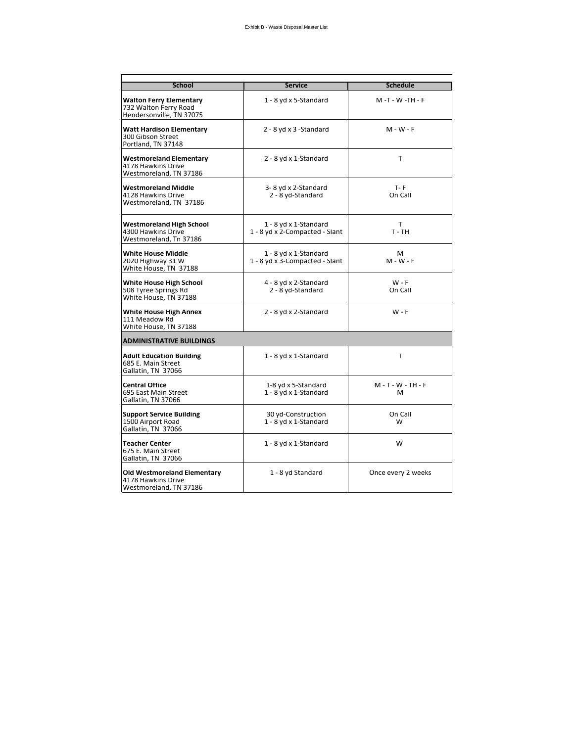| <b>School</b>                                                                       | <b>Service</b>                                          | <b>Schedule</b>           |  |  |
|-------------------------------------------------------------------------------------|---------------------------------------------------------|---------------------------|--|--|
| <b>Walton Ferry Elementary</b><br>732 Walton Ferry Road<br>Hendersonville, TN 37075 | 1 - 8 yd x 5-Standard                                   | M-T-W-TH-F                |  |  |
| <b>Watt Hardison Elementary</b><br>300 Gibson Street<br>Portland, TN 37148          | 2 - 8 yd x 3 - Standard                                 | $M - W - F$               |  |  |
| <b>Westmoreland Elementary</b><br>4178 Hawkins Drive<br>Westmoreland, TN 37186      | 2 - 8 yd x 1-Standard                                   | T.                        |  |  |
| <b>Westmoreland Middle</b><br>4128 Hawkins Drive<br>Westmoreland, TN 37186          | 3-8 yd x 2-Standard<br>2 - 8 yd-Standard                | $T - F$<br>On Call        |  |  |
| Westmoreland High School<br>4300 Hawkins Drive<br>Westmoreland, Tn 37186            | 1 - 8 yd x 1-Standard<br>1 - 8 yd x 2-Compacted - Slant | т<br>$T - TH$             |  |  |
| <b>White House Middle</b><br>2020 Highway 31 W<br>White House, TN 37188             | 1 - 8 yd x 1-Standard<br>1 - 8 yd x 3-Compacted - Slant | м<br>$M - W - F$          |  |  |
| White House High School<br>508 Tyree Springs Rd<br>White House, TN 37188            | 4 - 8 yd x 2-Standard<br>2 - 8 yd-Standard              | W - F<br>On Call          |  |  |
| <b>White House High Annex</b><br>111 Meadow Rd<br>White House, TN 37188             | 2 - 8 yd x 2-Standard                                   | $W - F$                   |  |  |
| <b>ADMINISTRATIVE BUILDINGS</b>                                                     |                                                         |                           |  |  |
| <b>Adult Education Building</b><br>685 E. Main Street<br>Gallatin, TN 37066         | 1 - 8 yd x 1-Standard                                   | т                         |  |  |
| <b>Central Office</b><br>695 East Main Street<br>Gallatin, TN 37066                 | 1-8 yd x 5-Standard<br>1 - 8 yd x 1-Standard            | $M - T - W - TH - F$<br>м |  |  |
| <b>Support Service Building</b><br>1500 Airport Road<br>Gallatin, TN 37066          | 30 yd-Construction<br>1 - 8 yd x 1-Standard             | On Call<br>W              |  |  |
| <b>Teacher Center</b><br>675 E. Main Street<br>Gallatin, TN 37066                   | 1 - 8 yd x 1-Standard                                   | W                         |  |  |
| <b>Old Westmoreland Elementary</b><br>4178 Hawkins Drive<br>Westmoreland, TN 37186  | 1 - 8 yd Standard                                       | Once every 2 weeks        |  |  |